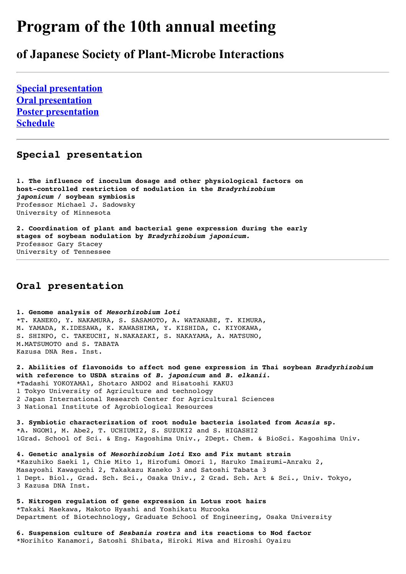# **Program of the 10th annual meeting**

# **of Japanese Society of Plant-Microbe Interactions**

**[Special presentation](http://jspmi.ac.affrc.go.jp/pro00_e.html#special) [Oral presentation](http://jspmi.ac.affrc.go.jp/pro00_e.html#oral) [Poster presentation](http://jspmi.ac.affrc.go.jp/pro00_e.html#poster) [Schedule](http://jspmi.ac.affrc.go.jp/pro00_e.html#schedule)**

# **Special presentation**

**1. The influence of inoculum dosage and other physiological factors on host-controlled restriction of nodulation in the** *Bradyrhizobium japonicum* **/ soybean symbiosis** Professor Michael J. Sadowsky University of Minnesota

**2. Coordination of plant and bacterial gene expression during the early stages of soybean nodulation by** *Bradyrhizobium japonicum.* Professor Gary Stacey University of Tennessee

# **Oral presentation**

**1. Genome analysis of** *Mesorhizobium loti* \*T. KANEKO, Y. NAKAMURA, S. SASAMOTO, A. WATANABE, T. KIMURA, M. YAMADA, K.IDESAWA, K. KAWASHIMA, Y. KISHIDA, C. KIYOKAWA, S. SHINPO, C. TAKEUCHI, N.NAKAZAKI, S. NAKAYAMA, A. MATSUNO, M.MATSUMOTO and S. TABATA Kazusa DNA Res. Inst.

**2. Abilities of flavonoids to affect nod gene expression in Thai soybean** *Bradyrhizobium* **with reference to USDA strains of** *B. japonicum* **and** *B. elkanii***.** \*Tadashi YOKOYAMA1, Shotaro ANDO2 and Hisatoshi KAKU3 1 Tokyo University of Agriculture and technology 2 Japan International Research Center for Agricultural Sciences 3 National Institute of Agrobiological Resources

**3. Symbiotic characterization of root nodule bacteria isolated from** *Acasia* **sp.** \*A. NGOM1, M. Abe2, T. UCHIUMI2, S. SUZUKI2 and S. HIGASHI2 1Grad. School of Sci. & Eng. Kagoshima Univ., 2Dept. Chem. & BioSci. Kagoshima Univ.

**4. Genetic analysis of** *Mesorhizobium loti* **Exo and Fix mutant strain**  \*Kazuhiko Saeki 1, Chie Mito 1, Hirofumi Omori 1, Haruko Imaizumi-Anraku 2, Masayoshi Kawaguchi 2, Takakazu Kaneko 3 and Satoshi Tabata 3 1 Dept. Biol., Grad. Sch. Sci., Osaka Univ., 2 Grad. Sch. Art & Sci., Univ. Tokyo, 3 Kazusa DNA Inst.

**5. Nitrogen regulation of gene expression in Lotus root hairs** \*Takaki Maekawa, Makoto Hyashi and Yoshikatu Murooka Department of Biotechnology, Graduate School of Engineering, Osaka University

**6. Suspension culture of** *Sesbania rostra* **and its reactions to Nod factor** \*Norihito Kanamori, Satoshi Shibata, Hiroki Miwa and Hiroshi Oyaizu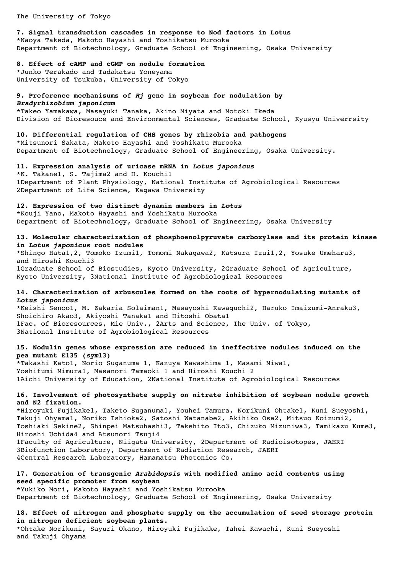The University of Tokyo

## **7. Signal transduction cascades in response to Nod factors in Lotus** \*Naoya Takeda, Makoto Hayashi and Yoshikatsu Murooka

Department of Biotechnology, Graduate School of Engineering, Osaka University

#### **8. Effect of cAMP and cGMP on nodule formation**

\*Junko Terakado and Tadakatsu Yoneyama University of Tsukuba, University of Tokyo

# **9. Preference mechanisums of** *Rj* **gene in soybean for nodulation by**

*Bradyrhizobium japonicum* \*Takeo Yamakawa, Masayuki Tanaka, Akino Miyata and Motoki Ikeda Division of Bioresouce and Environmental Sciences, Graduate School, Kyusyu Univerrsity

#### **10. Differential regulation of CHS genes by rhizobia and pathogens** \*Mitsunori Sakata, Makoto Hayashi and Yoshikatu Murooka Department of Biotechnology, Graduate School of Engineering, Osaka University.

**11. Expression analysis of uricase mRNA in** *Lotus japonicus* \*K. Takane1, S. Tajima2 and H. Kouchi1 1Department of Plant Physiology, National Institute of Agrobiological Resources 2Department of Life Science, Kagawa University

#### **12. Expression of two distinct dynamin members in** *Lotus*

\*Kouji Yano, Makoto Hayashi and Yoshikatu Murooka Department of Biotechnology, Graduate School of Engineering, Osaka University

#### **13. Molecular characterization of phosphoenolpyruvate carboxylase and its protein kinase in** *Lotus japonicus* **root nodules**

\*Shingo Hata1,2, Tomoko Izumi1, Tomomi Nakagawa2, Katsura Izui1,2, Yosuke Umehara3, and Hiroshi Kouchi3 1Graduate School of Biostudies, Kyoto University, 2Graduate School of Agriculture, Kyoto University, 3National Institute of Agrobiological Resources

#### **14. Characterization of arbuscules formed on the roots of hypernodulating mutants of**  *Lotus japonicus*

\*Keishi Senoo1, M. Zakaria Solaiman1, Masayoshi Kawaguchi2, Haruko Imaizumi-Anraku3, Shoichiro Akao3, Akiyoshi Tanaka1 and Hitoshi Obata1 1Fac. of Bioresources, Mie Univ., 2Arts and Science, The Univ. of Tokyo, 3National Institute of Agrobiological Resources

#### **15. Nodulin genes whose expression are reduced in ineffective nodules induced on the pea mutant E135 (***sym***13)**

\*Takashi Kato1, Norio Suganuma 1, Kazuya Kawashima 1, Masami Miwa1, Yoshifumi Mimura1, Masanori Tamaoki 1 and Hiroshi Kouchi 2 1Aichi University of Education, 2National Institute of Agrobiological Resources

#### **16. Involvement of photosynthate supply on nitrate inhibition of soybean nodule growth and N2 fixation.**

\*Hiroyuki Fujikake1, Taketo Suganuma1, Youhei Tamura, Norikuni Ohtake1, Kuni Sueyoshi, Takuji Ohyama1, Noriko Ishioka2, Satoshi Watanabe2, Akihiko Osa2, Mitsuo Koizumi2, Toshiaki Sekine2, Shinpei Matsuhashi3, Takehito Ito3, Chizuko Mizuniwa3, Tamikazu Kume3, Hiroshi Uchida4 and Atsunori Tsuji4 1Faculty of Agriculture, Niigata University, 2Department of Radioisotopes, JAERI

3Biofunction Laboratory, Department of Radiation Research, JAERI 4Central Research Laboratory, Hamamatsu Photonics Co.

#### **17. Generation of transgenic** *Arabidopsis* **with modified amino acid contents using seed specific promoter from soybean**

\*Yukiko Mori, Makoto Hayashi and Yoshikatsu Murooka Department of Biotechnology, Graduate School of Engineering, Osaka University

#### **18. Effect of nitrogen and phosphate supply on the accumulation of seed storage protein in nitrogen deficient soybean plants.**

\*Ohtake Norikuni, Sayuri Okano, Hiroyuki Fujikake, Tahei Kawachi, Kuni Sueyoshi and Takuji Ohyama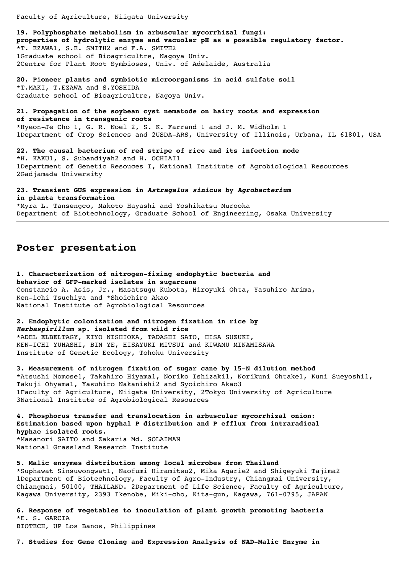Faculty of Agriculture, Niigata University

**19. Polyphosphate metabolism in arbuscular mycorrhizal fungi: properties of hydrolytic enzyme and vacuolar pH as a possible regulatory factor.**  \*T. EZAWA1, S.E. SMITH2 and F.A. SMITH2 1Graduate school of Bioagricultre, Nagoya Univ. 2Centre for Plant Root Symbioses, Univ. of Adelaide, Australia

**20. Pioneer plants and symbiotic microorganisms in acid sulfate soil** \*T.MAKI, T.EZAWA and S.YOSHIDA Graduate school of Bioagricultre, Nagoya Univ.

**21. Propagation of the soybean cyst nematode on hairy roots and expression of resistance in transgenic roots** \*Hyeon-Je Cho 1, G. R. Noel 2, S. K. Farrand 1 and J. M. Widholm 1 1Department of Crop Sciences and 2USDA-ARS, University of Illinois, Urbana, IL 61801, USA

**22. The causal bacterium of red stripe of rice and its infection mode** \*H. KAKU1, S. Subandiyah2 and H. OCHIAI1 1Department of Genetic Resouces I, National Institute of Agrobiological Resources 2Gadjamada University

**23. Transient GUS expression in** *Astragalus sinicus* **by** *Agrobacterium* **in planta transformation**

\*Myra L. Tansengco, Makoto Hayashi and Yoshikatsu Murooka Department of Biotechnology, Graduate School of Engineering, Osaka University

### **Poster presentation**

**1. Characterization of nitrogen-fixing endophytic bacteria and behavior of GFP-marked isolates in sugarcane** Constancio A. Asis, Jr., Masatsugu Kubota, Hiroyuki Ohta, Yasuhiro Arima, Ken-ichi Tsuchiya and \*Shoichiro Akao National Institute of Agrobiological Resources

**2. Endophytic colonization and nitrogen fixation in rice by**  *Herbaspirillum* **sp. isolated from wild rice** \*ADEL ELBELTAGY, KIYO NISHIOKA, TADASHI SATO, HISA SUZUKI, KEN-ICHI YUHASHI, BIN YE, HISAYUKI MITSUI and KIWAMU MINAMISAWA

Institute of Genetic Ecology, Tohoku University

**3. Measurement of nitrogen fixation of sugar cane by 15-N dilution method**  \*Atsushi Momose1, Takahiro Hiyama1, Noriko Ishizaki1, Norikuni Ohtake1, Kuni Sueyoshi1, Takuji Ohyama1, Yasuhiro Nakanishi2 and Syoichiro Akao3 1Faculty of Agriculture, Niigata University, 2Tokyo University of Agriculture 3National Institute of Agrobiological Resources

**4. Phosphorus transfer and translocation in arbuscular mycorrhizal onion: Estimation based upon hyphal P distribution and P efflux from intraradical hyphae isolated roots.** \*Masanori SAITO and Zakaria Md. SOLAIMAN National Grassland Research Institute

**5. Malic enzymes distribution among local microbes from Thailand**

\*Suphawat Sinsuwongwat1, Naofumi Hiramitsu2, Mika Agarie2 and Shigeyuki Tajima2 1Department of Biotechnology, Faculty of Agro-Industry, Chiangmai University, Chiangmai, 50100, THAILAND. 2Department of Life Science, Faculty of Agriculture, Kagawa University, 2393 Ikenobe, Miki-cho, Kita-gun, Kagawa, 761-0795, JAPAN

**6. Response of vegetables to inoculation of plant growth promoting bacteria** \*E. S. GARCIA BIOTECH, UP Los Banos, Philippines

**7. Studies for Gene Cloning and Expression Analysis of NAD-Malic Enzyme in**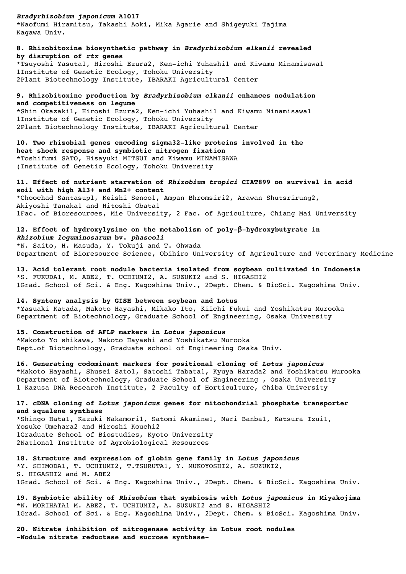*Bradyrhizobium japonicum* **A1017**

\*Naofumi Hiramitsu, Takashi Aoki, Mika Agarie and Shigeyuki Tajima Kagawa Univ.

**8. Rhizobitoxine biosynthetic pathway in** *Bradyrhizobium elkanii* **revealed by disruption of** *rtx* **genes** \*Tsuyoshi Yasuta1, Hiroshi Ezura2, Ken-ichi Yuhashi1 and Kiwamu Minamisawa1 1Institute of Genetic Ecology, Tohoku University 2Plant Biotechnology Institute, IBARAKI Agricultural Center

**9. Rhizobitoxine production by** *Bradyrhizobium elkanii* **enhances nodulation and competitiveness on legume** \*Shin Okazaki1, Hiroshi Ezura2, Ken-ichi Yuhashi1 and Kiwamu Minamisawa1 1Institute of Genetic Ecology, Tohoku University 2Plant Biotechnology Institute, IBARAKI Agricultural Center

**10. Two rhizobial genes encoding sigma32-like proteins involved in the heat shock response and symbiotic nitrogen fixation** \*Toshifumi SATO, Hisayuki MITSUI and Kiwamu MINAMISAWA (Institute of Genetic Ecology, Tohoku University

**11. Effect of nutrient starvation of** *Rhizobium tropici* **CIAT899 on survival in acid soil with high Al3+ and Mn2+ content** \*Choochad Santasup1, Keishi Senoo1, Ampan Bhromsiri2, Arawan Shutsrirung2, Akiyoshi Tanaka1 and Hitoshi Obata1 1Fac. of Bioresources, Mie University, 2 Fac. of Agriculture, Chiang Mai University

**12. Effect of hydroxylysine on the metabolism of poly-β-hydroxybutyrate in**  *Rhizobium leguminosarum* **bv.** *phaseoli* \*N. Saito, H. Masuda, Y. Tokuji and T. Ohwada Department of Bioresource Science, Obihiro University of Agriculture and Veterinary Medicine

**13. Acid tolerant root nodule bacteria isolated from soybean cultivated in Indonesia** \*S. FUKUDA1, M. ABE2, T. UCHIUMI2, A. SUZUKI2 and S. HIGASHI2 1Grad. School of Sci. & Eng. Kagoshima Univ., 2Dept. Chem. & BioSci. Kagoshima Univ.

**14. Synteny analysis by GISH between soybean and Lotus** \*Yasuaki Katada, Makoto Hayashi, Mikako Ito, Kiichi Fukui and Yoshikatsu Murooka Department of Biotechnology, Graduate School of Engineering, Osaka University

**15. Construction of AFLP markers in** *Lotus japonicus* \*Makoto Yo shikawa, Makoto Hayashi and Yoshikatsu Murooka Dept.of Biotechnology, Graduate school of Engineering Osaka Univ.

**16. Generating codominant markers for positional cloning of** *Lotus japonicus* \*Makoto Hayashi, Shusei Sato1, Satoshi Tabata1, Kyuya Harada2 and Yoshikatsu Murooka Department of Biotechnology, Graduate School of Engineering , Osaka University 1 Kazusa DNA Research Institute, 2 Faculty of Horticulture, Chiba University

**17. cDNA cloning of** *Lotus japonicus* **genes for mitochondrial phosphate transporter and squalene synthase**

\*Shingo Hata1, Kazuki Nakamori1, Satomi Akamine1, Mari Banba1, Katsura Izui1, Yosuke Umehara2 and Hiroshi Kouchi2 1Graduate School of Biostudies, Kyoto University 2National Institute of Agrobiological Resources

**18. Structure and expression of globin gene family in** *Lotus japonicus* \*Y. SHIMODA1, T. UCHIUMI2, T.TSURUTA1, Y. MUKOYOSHI2, A. SUZUKI2, S. HIGASHI2 and M. ABE2 1Grad. School of Sci. & Eng. Kagoshima Univ., 2Dept. Chem. & BioSci. Kagoshima Univ.

**19. Symbiotic ability of** *Rhizobium* **that symbiosis with** *Lotus japonicus* **in Miyakojima** \*N. MORIHATA1 M. ABE2, T. UCHIUMI2, A. SUZUKI2 and S. HIGASHI2 1Grad. School of Sci. & Eng. Kagoshima Univ., 2Dept. Chem. & BioSci. Kagoshima Univ.

**20. Nitrate inhibition of nitrogenase activity in Lotus root nodules -Nodule nitrate reductase and sucrose synthase-**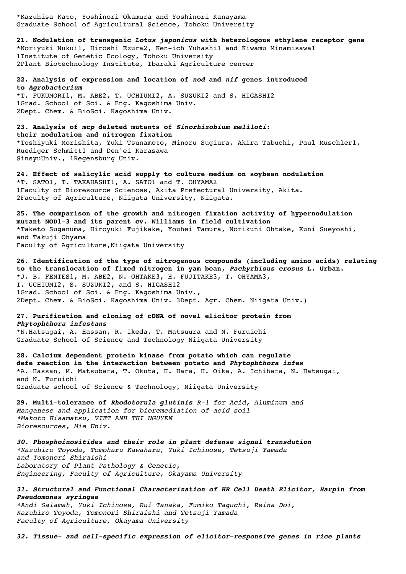\*Kazuhisa Kato, Yoshinori Okamura and Yoshinori Kanayama Graduate School of Agricultural Science, Tohoku University

**21. Nodulation of transgenic** *Lotus japonicus* **with heterologous ethylene receptor gene** \*Noriyuki Nukui1, Hiroshi Ezura2, Ken-ich Yuhashi1 and Kiwamu Minamisawa1 1Institute of Genetic Ecology, Tohoku University 2Plant Biotechnology Institute, Ibaraki Agriculture center

**22. Analysis of expression and location of** *nod* **and** *nif* **genes introduced to** *Agrobacterium*

\*T. FUKUMORI1, M. ABE2, T. UCHIUMI2, A. SUZUKI2 and S. HIGASHI2 1Grad. School of Sci. & Eng. Kagoshima Univ. 2Dept. Chem. & BioSci. Kagoshima Univ.

#### **23. Analysis of** *mcp* **deleted mutants of** *Sinorhizobium meliloti***: their nodulation and nitrogen fixation**

\*Toshiyuki Morishita, Yuki Tsunamoto, Minoru Sugiura, Akira Tabuchi, Paul Muschler1, Ruediger Schmitt1 and Den'ei Karasawa SinsyuUniv., 1Regensburg Univ.

**24. Effect of salicylic acid supply to culture medium on soybean nodulation** \*T. SATO1, T. TAKAHASHI1, A. SATO1 and T. OHYAMA2 1Faculty of Bioresource Sciences, Akita Prefectural University, Akita. 2Faculty of Agriculture, Niigata University, Niigata.

**25. The comparison of the growth and nitrogen fixation activity of hypernodulation mutant NOD1-3 and its parent cv. Williams in field cultivation** \*Taketo Suganuma, Hiroyuki Fujikake, Youhei Tamura, Norikuni Ohtake, Kuni Sueyoshi, and Takuji Ohyama Faculty of Agriculture, Niigata University

**26. Identification of the type of nitrogenous compounds (including amino acids) relating to the translocation of fixed nitrogen in yam bean,** *Pachyrhizus erosus* **L. Urban.** \*J. B. FENTES1, M. ABE2, N. OHTAKE3, H. FUJITAKE3, T. OHYAMA3, T. UCHIUMI2, S. SUZUKI2, and S. HIGASHI2 1Grad. School of Sci. & Eng. Kagoshima Univ., 2Dept. Chem. & BioSci. Kagoshima Univ. 3Dept. Agr. Chem. Niigata Univ.)

#### **27. Purification and cloning of cDNA of novel elicitor protein from**  *Phytophthora infestans*

\*N.Hatsugai, A. Hassan, R. Ikeda, T. Matsuura and N. Furuichi Graduate School of Science and Technology Niigata University

**28. Calcium dependent protein kinase from potato which can regulate defe reaction in the interaction between potato and** *Phytophthora infes* \*A. Hassan, M. Matsubara, T. Okuta, H. Hara, H. Oika, A. Ichihara, N. Hatsugai, and N. Furuichi Graduate school of Science & Technology, Niigata University

**29. Multi-tolerance of** *Rhodotorula glutinis R-1 for Acid, Aluminum and Manganese and application for bioremediation of acid soil \*Makoto Hisamatsu, VIET ANH THI NGUYEN Bioresources, Mie Univ.*

*30. Phosphoinositides and their role in plant defense signal transdution \*Kazuhiro Toyoda, Tomoharu Kawahara, Yuki Ichinose, Tetsuji Yamada and Tomonori Shiraishi Laboratory of Plant Pathology & Genetic, Engineering, Faculty of Agriculture, Okayama University*

#### *31. Structural and Functional Characterization of HR Cell Death Elicitor, Harpin from Pseudomonas syringae*

*\*Andi Salamah, Yuki Ichinose, Rui Tanaka, Fumiko Taguchi, Reina Doi, Kazuhiro Toyoda, Tomonori Shiraishi and Tetsuji Yamada Faculty of Agriculture, Okayama University*

*32. Tissue- and cell-specific expression of elicitor-responsive genes in rice plants*